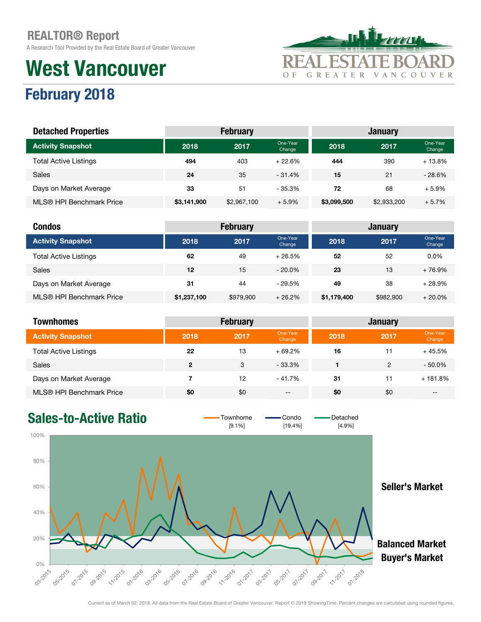A Research Tool Provided by the Real Estate Board of Greater Vancouver

# West Vancouver



## February 2018

| <b>Detached Properties</b>   | <b>February</b><br><b>January</b> |             |                    |             |             |                    |
|------------------------------|-----------------------------------|-------------|--------------------|-------------|-------------|--------------------|
| <b>Activity Snapshot</b>     | 2018                              | 2017        | One-Year<br>Change | 2018        | 2017        | One-Year<br>Change |
| <b>Total Active Listings</b> | 494                               | 403         | $+22.6%$           | 444         | 390         | $+13.8%$           |
| <b>Sales</b>                 | 24                                | 35          | $-31.4%$           | 15          | 21          | $-28.6%$           |
| Days on Market Average       | 33                                | 51          | $-35.3%$           | 72          | 68          | $+5.9%$            |
| MLS® HPI Benchmark Price     | \$3,141,900                       | \$2,967,100 | $+5.9%$            | \$3,099,500 | \$2,933,200 | $+5.7%$            |

| <b>Condos</b>                |             | <b>February</b> |                    |             | <b>January</b> |                    |
|------------------------------|-------------|-----------------|--------------------|-------------|----------------|--------------------|
| <b>Activity Snapshot</b>     | 2018        | 2017            | One-Year<br>Change | 2018        | 2017           | One-Year<br>Change |
| <b>Total Active Listings</b> | 62          | 49              | $+26.5%$           | 52          | 52             | $0.0\%$            |
| <b>Sales</b>                 | 12          | 15              | $-20.0\%$          | 23          | 13             | $+76.9%$           |
| Days on Market Average       | 31          | 44              | $-29.5%$           | 49          | 38             | $+28.9%$           |
| MLS® HPI Benchmark Price     | \$1,237,100 | \$979,900       | $+26.2%$           | \$1,179,400 | \$982,900      | $+20.0\%$          |

| <b>Townhomes</b>             |              | <b>February</b> |                    |      | <b>January</b> |                    |
|------------------------------|--------------|-----------------|--------------------|------|----------------|--------------------|
| <b>Activity Snapshot</b>     | 2018         | 2017            | One-Year<br>Change | 2018 | 2017           | One-Year<br>Change |
| <b>Total Active Listings</b> | 22           | 13              | $+69.2%$           | 16   | 11             | $+45.5%$           |
| <b>Sales</b>                 | $\mathbf{2}$ | 3               | - 33.3%            |      | $\mathfrak{p}$ | $-50.0\%$          |
| Days on Market Average       |              | 12              | $-41.7%$           | 31   | 11             | $+181.8%$          |
| MLS® HPI Benchmark Price     | \$0          | \$0             | $- -$              | \$0  | \$0            | $- -$              |



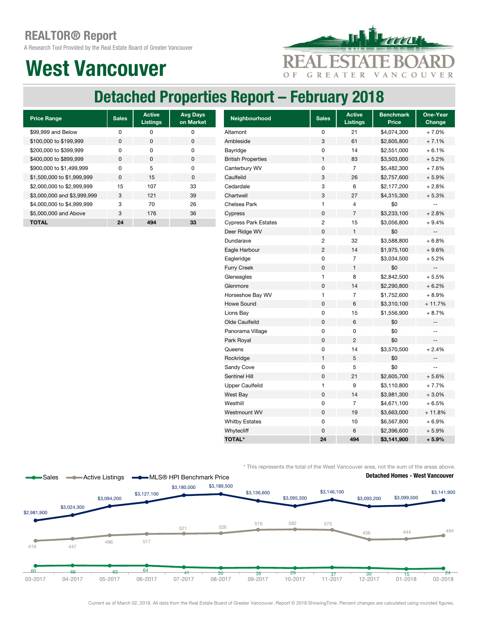A Research Tool Provided by the Real Estate Board of Greater Vancouver

## West Vancouver



### Detached Properties Report – February 2018

| <b>Price Range</b>          | <b>Sales</b> | <b>Active</b><br><b>Listings</b> | <b>Avg Days</b><br>on Market |
|-----------------------------|--------------|----------------------------------|------------------------------|
| \$99,999 and Below          | ŋ            | O                                | ŋ                            |
| \$100,000 to \$199,999      | O            | <sup>0</sup>                     | $\Omega$                     |
| \$200,000 to \$399,999      | O            | O                                | O                            |
| \$400,000 to \$899,999      | $\Omega$     | <sup>0</sup>                     | $\Omega$                     |
| \$900,000 to \$1,499,999    | O            | 5                                | O                            |
| \$1,500,000 to \$1,999,999  | O            | 15                               | $\Omega$                     |
| \$2,000,000 to \$2,999,999  | 15           | 107                              | 33                           |
| \$3,000,000 and \$3,999,999 | 3            | 121                              | 39                           |
| \$4,000,000 to \$4,999,999  | 3            | 70                               | 26                           |
| \$5,000,000 and Above       | 3            | 176                              | 36                           |
| <b>TOTAL</b>                | 24           | 494                              | 33                           |

| <b>Price Range</b>          | <b>Sales</b> | <b>Active</b><br><b>Listings</b> | <b>Avg Days</b><br>on Market | Neighbourhood               | <b>Sales</b>              | <b>Active</b><br><b>Listings</b> | <b>Benchmark</b><br><b>Price</b> | One-Year<br>Change       |
|-----------------------------|--------------|----------------------------------|------------------------------|-----------------------------|---------------------------|----------------------------------|----------------------------------|--------------------------|
| \$99,999 and Below          | $\pmb{0}$    | $\pmb{0}$                        | $\pmb{0}$                    | Altamont                    | $\mathsf 0$               | 21                               | \$4,074,300                      | $+7.0%$                  |
| \$100,000 to \$199,999      | $\pmb{0}$    | $\mathbf 0$                      | $\pmb{0}$                    | Ambleside                   | $\ensuremath{\mathsf{3}}$ | 61                               | \$2,605,800                      | $+7.1%$                  |
| \$200,000 to \$399,999      | 0            | 0                                | 0                            | Bayridge                    | 0                         | 14                               | \$2,551,000                      | $+6.1%$                  |
| \$400,000 to \$899,999      | 0            | $\pmb{0}$                        | $\pmb{0}$                    | <b>British Properties</b>   | $\mathbf{1}$              | 83                               | \$3,503,000                      | $+5.2%$                  |
| \$900,000 to \$1,499,999    | 0            | 5                                | $\pmb{0}$                    | Canterbury WV               | 0                         | $\overline{7}$                   | \$5,482,300                      | $+7.6%$                  |
| \$1,500,000 to \$1,999,999  | 0            | 15                               | $\pmb{0}$                    | Caulfeild                   | 3                         | 26                               | \$2,757,600                      | $+5.9%$                  |
| \$2,000,000 to \$2,999,999  | 15           | 107                              | 33                           | Cedardale                   | 3                         | 6                                | \$2,177,200                      | $+2.8%$                  |
| \$3,000,000 and \$3,999,999 | 3            | 121                              | 39                           | Chartwell                   | $\mathbf 3$               | 27                               | \$4,315,300                      | $+5.3%$                  |
| \$4,000,000 to \$4,999,999  | 3            | 70                               | 26                           | Chelsea Park                | $\mathbf{1}$              | 4                                | \$0                              | $\sim$ $\sim$            |
| \$5,000,000 and Above       | 3            | 176                              | 36                           | Cypress                     | $\mathbf 0$               | $\overline{7}$                   | \$3,233,100                      | $+2.8%$                  |
| <b>TOTAL</b>                | 24           | 494                              | 33                           | <b>Cypress Park Estates</b> | $\sqrt{2}$                | 15                               | \$3,056,800                      | $+9.4%$                  |
|                             |              |                                  |                              | Deer Ridge WV               | $\mathbf 0$               | $\mathbf{1}$                     | \$0                              | $-\, -$                  |
|                             |              |                                  |                              | Dundarave                   | $\sqrt{2}$                | 32                               | \$3,588,800                      | $+6.8%$                  |
|                             |              |                                  |                              | Eagle Harbour               | $\overline{c}$            | 14                               | \$1,975,100                      | $+9.6%$                  |
|                             |              |                                  |                              | Eagleridge                  | 0                         | $\overline{7}$                   | \$3,034,500                      | $+5.2%$                  |
|                             |              |                                  |                              | <b>Furry Creek</b>          | $\pmb{0}$                 | $\mathbf{1}$                     | \$0                              | $\overline{\phantom{a}}$ |
|                             |              |                                  |                              | Gleneagles                  | $\mathbf{1}$              | 8                                | \$2,842,500                      | $+5.5%$                  |
|                             |              |                                  |                              | Glenmore                    | $\mathbf 0$               | 14                               | \$2,290,800                      | $+6.2%$                  |
|                             |              |                                  |                              | Horseshoe Bay WV            | $\mathbf{1}$              | $\overline{7}$                   | \$1,752,600                      | $+8.9%$                  |
|                             |              |                                  |                              | <b>Howe Sound</b>           | $\mathbf 0$               | 6                                | \$3,310,100                      | $+11.7%$                 |
|                             |              |                                  |                              | Lions Bay                   | $\mathbf 0$               | 15                               | \$1,556,900                      | $+8.7%$                  |
|                             |              |                                  |                              | Olde Caulfeild              | $\mathbf 0$               | $\,6\,$                          | \$0                              | $-\, -$                  |
|                             |              |                                  |                              | Panorama Village            | $\pmb{0}$                 | 0                                | \$0                              | $\qquad \qquad -$        |
|                             |              |                                  |                              | Park Royal                  | $\pmb{0}$                 | $\overline{c}$                   | \$0                              | $\overline{\phantom{a}}$ |
|                             |              |                                  |                              | Queens                      | 0                         | 14                               | \$3,570,500                      | $+2.4%$                  |
|                             |              |                                  |                              | Rockridge                   | $\mathbf{1}$              | 5                                | \$0                              | $\overline{\phantom{a}}$ |
|                             |              |                                  |                              | Sandy Cove                  | $\pmb{0}$                 | 5                                | \$0                              | $\sim$ $\sim$            |
|                             |              |                                  |                              | Sentinel Hill               | $\pmb{0}$                 | 21                               | \$2,605,700                      | $+5.6%$                  |
|                             |              |                                  |                              | <b>Upper Caulfeild</b>      | $\mathbf{1}$              | 9                                | \$3,110,800                      | $+7.7%$                  |
|                             |              |                                  |                              | West Bay                    | $\pmb{0}$                 | 14                               | \$3,981,300                      | $+3.0%$                  |
|                             |              |                                  |                              | Westhill                    | 0                         | $\overline{7}$                   | \$4,671,100                      | $+6.5%$                  |
|                             |              |                                  |                              | Westmount WV                | $\pmb{0}$                 | 19                               | \$3,663,000                      | $+11.8%$                 |
|                             |              |                                  |                              | <b>Whitby Estates</b>       | 0                         | 10                               | \$6,567,800                      | $+6.9%$                  |
|                             |              |                                  |                              | Whytecliff                  | $\mathbf 0$               | 6                                | \$2,396,600                      | $+5.9%$                  |
|                             |              |                                  |                              | <b>TOTAL*</b>               | 24                        | 494                              | \$3,141,900                      | $+5.9%$                  |

\* This represents the total of the West Vancouver area, not the sum of the areas above.

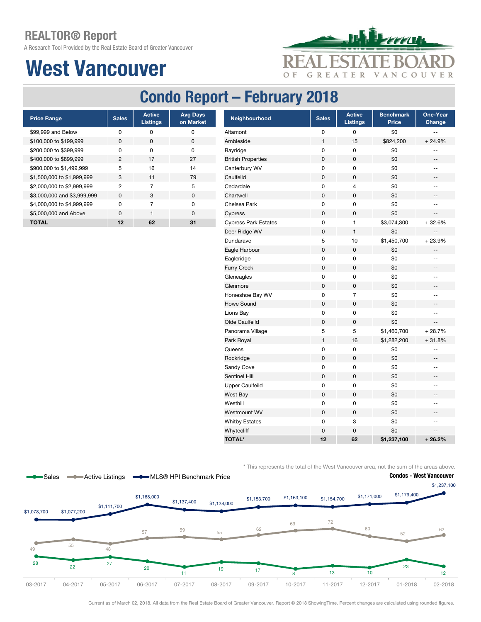A Research Tool Provided by the Real Estate Board of Greater Vancouver

# West Vancouver



### Condo Report – February 2018

| <b>Price Range</b>          | <b>Sales</b>   | <b>Active</b><br><b>Listings</b> | <b>Avg Days</b><br>on Market |
|-----------------------------|----------------|----------------------------------|------------------------------|
| \$99,999 and Below          | ŋ              | ŋ                                | ŋ                            |
| \$100,000 to \$199,999      | O              | <sup>0</sup>                     | O                            |
| \$200,000 to \$399,999      | U              | <sup>0</sup>                     | ŋ                            |
| \$400,000 to \$899,999      | $\mathfrak{p}$ | 17                               | 27                           |
| \$900,000 to \$1,499,999    | 5              | 16                               | 14                           |
| \$1,500,000 to \$1,999,999  | 3              | 11                               | 79                           |
| \$2,000,000 to \$2,999,999  | 2              | 7                                | 5                            |
| \$3,000,000 and \$3,999,999 | $\Omega$       | 3                                | $\Omega$                     |
| \$4,000,000 to \$4,999,999  | U              | 7                                | U                            |
| \$5,000,000 and Above       | $\Omega$       | 1                                | U                            |
| <b>TOTAL</b>                | 12             | 62                               | 31                           |

| <b>Price Range</b>          | <b>Sales</b>   | <b>Active</b><br><b>Listings</b> | <b>Avg Days</b><br>on Market | Neighbourhood               | <b>Sales</b> | <b>Active</b><br><b>Listings</b> | <b>Benchmark</b><br><b>Price</b> | One-Year<br>Change                                  |
|-----------------------------|----------------|----------------------------------|------------------------------|-----------------------------|--------------|----------------------------------|----------------------------------|-----------------------------------------------------|
| \$99,999 and Below          | $\pmb{0}$      | 0                                | 0                            | Altamont                    | 0            | 0                                | \$0                              |                                                     |
| \$100,000 to \$199,999      | $\pmb{0}$      | 0                                | 0                            | Ambleside                   | $\mathbf{1}$ | 15                               | \$824,200                        | $+24.9%$                                            |
| \$200,000 to \$399,999      | 0              | 0                                | 0                            | Bayridge                    | 0            | 0                                | \$0                              | $\hspace{0.05cm} -\hspace{0.05cm} -\hspace{0.05cm}$ |
| \$400,000 to \$899,999      | $\overline{c}$ | 17                               | 27                           | <b>British Properties</b>   | 0            | 0                                | \$0                              |                                                     |
| \$900,000 to \$1,499,999    | 5              | 16                               | 14                           | Canterbury WV               | 0            | 0                                | \$0                              | $\hspace{0.05cm} -\hspace{0.05cm} -\hspace{0.05cm}$ |
| \$1,500,000 to \$1,999,999  | 3              | 11                               | 79                           | Caulfeild                   | 0            | 0                                | \$0                              | --                                                  |
| \$2,000,000 to \$2,999,999  | $\overline{c}$ | $\overline{7}$                   | 5                            | Cedardale                   | 0            | 4                                | \$0                              | $\overline{\phantom{a}}$                            |
| \$3,000,000 and \$3,999,999 | 0              | 3                                | $\pmb{0}$                    | Chartwell                   | 0            | 0                                | \$0                              | ÷                                                   |
| \$4,000,000 to \$4,999,999  | $\pmb{0}$      | $\overline{7}$                   | $\pmb{0}$                    | Chelsea Park                | 0            | 0                                | \$0                              | --                                                  |
| \$5,000,000 and Above       | 0              | $\mathbf{1}$                     | $\pmb{0}$                    | Cypress                     | 0            | 0                                | \$0                              | --                                                  |
| <b>TOTAL</b>                | 12             | 62                               | 31                           | <b>Cypress Park Estates</b> | 0            | 1                                | \$3,074,300                      | $+32.6%$                                            |
|                             |                |                                  |                              | Deer Ridge WV               | 0            | 1                                | \$0                              |                                                     |
|                             |                |                                  |                              | Dundarave                   | 5            | 10                               | \$1,450,700                      | $+23.9%$                                            |
|                             |                |                                  |                              | Eagle Harbour               | 0            | 0                                | \$0                              | --                                                  |
|                             |                |                                  |                              | Eagleridge                  | 0            | 0                                | \$0                              | $\overline{\phantom{a}}$                            |
|                             |                |                                  |                              | <b>Furry Creek</b>          | 0            | 0                                | \$0                              | --                                                  |
|                             |                |                                  |                              | Gleneagles                  | 0            | 0                                | \$0                              | --                                                  |
|                             |                |                                  |                              | Glenmore                    | $\mathsf 0$  | 0                                | \$0                              | --                                                  |
|                             |                |                                  |                              | Horseshoe Bay WV            | 0            | $\overline{7}$                   | \$0                              | --                                                  |
|                             |                |                                  |                              | Howe Sound                  | $\mathsf 0$  | $\mathbf 0$                      | \$0                              | --                                                  |
|                             |                |                                  |                              | Lions Bay                   | 0            | 0                                | \$0                              | $\overline{a}$                                      |
|                             |                |                                  |                              | Olde Caulfeild              | 0            | 0                                | \$0                              | $\overline{\phantom{a}}$                            |
|                             |                |                                  |                              | Panorama Village            | 5            | 5                                | \$1,460,700                      | $+28.7%$                                            |
|                             |                |                                  |                              | Park Royal                  | 1            | 16                               | \$1,282,200                      | $+31.8%$                                            |
|                             |                |                                  |                              | Queens                      | 0            | 0                                | \$0                              | --                                                  |
|                             |                |                                  |                              | Rockridge                   | $\mathsf 0$  | 0                                | \$0                              | --                                                  |
|                             |                |                                  |                              | Sandy Cove                  | 0            | 0                                | \$0                              | --                                                  |
|                             |                |                                  |                              | Sentinel Hill               | 0            | 0                                | \$0                              | --                                                  |
|                             |                |                                  |                              | <b>Upper Caulfeild</b>      | 0            | 0                                | \$0                              | --                                                  |
|                             |                |                                  |                              | West Bay                    | 0            | 0                                | \$0                              | $\overline{\phantom{a}}$                            |
|                             |                |                                  |                              | Westhill                    | 0            | 0                                | \$0                              | --                                                  |
|                             |                |                                  |                              | Westmount WV                | $\mathsf 0$  | 0                                | \$0                              | --                                                  |
|                             |                |                                  |                              | <b>Whitby Estates</b>       | 0            | 3                                | \$0                              | --                                                  |
|                             |                |                                  |                              | Whytecliff                  | 0            | 0                                | \$0                              | --                                                  |
|                             |                |                                  |                              | <b>TOTAL*</b>               | 12           | 62                               | \$1,237,100                      | $+26.2%$                                            |

\* This represents the total of the West Vancouver area, not the sum of the areas above.



Current as of March 02, 2018. All data from the Real Estate Board of Greater Vancouver. Report © 2018 ShowingTime. Percent changes are calculated using rounded figures.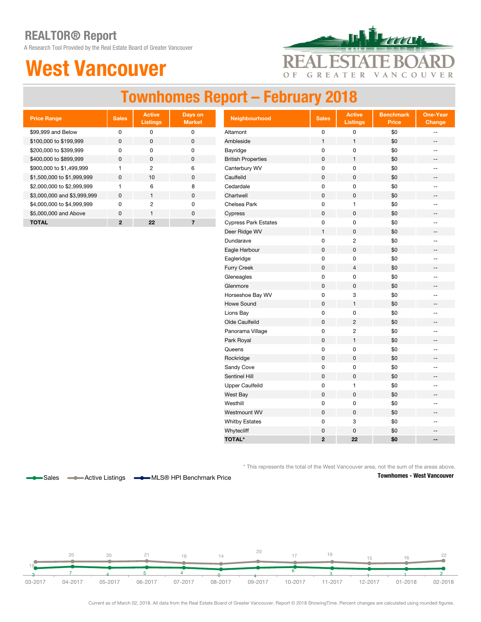A Research Tool Provided by the Real Estate Board of Greater Vancouver

## West Vancouver



### Townhomes Report – February 2018

| <b>Price Range</b>          | <b>Sales</b> | <b>Active</b><br><b>Listings</b> | Days on<br><b>Market</b> |
|-----------------------------|--------------|----------------------------------|--------------------------|
| \$99,999 and Below          | ŋ            | O                                | ŋ                        |
| \$100,000 to \$199,999      | <sup>0</sup> | $\Omega$                         | O                        |
| \$200,000 to \$399,999      | n            | O                                | ŋ                        |
| \$400,000 to \$899,999      | <sup>0</sup> | <sup>0</sup>                     | ŋ                        |
| \$900,000 to \$1,499,999    |              | 2                                | 6                        |
| \$1,500,000 to \$1,999,999  | $\Omega$     | 10                               | $\Omega$                 |
| \$2,000,000 to \$2,999,999  |              | 6                                | 8                        |
| \$3,000,000 and \$3,999,999 | $\Omega$     |                                  | $\Omega$                 |
| \$4,000,000 to \$4,999,999  | n            | 2                                | ŋ                        |
| \$5,000,000 and Above       | U            | 1                                | $\Omega$                 |
| ΤΟΤΑL                       | 2            | 22                               |                          |

| <b>Price Range</b>          | <b>Sales</b> | <b>Active</b><br><b>Listings</b> | Days on<br><b>Market</b> | Neighbourhood               | <b>Sales</b>   | <b>Active</b><br><b>Listings</b> | <b>Benchmark</b><br><b>Price</b> | <b>One-Year</b><br>Change                           |
|-----------------------------|--------------|----------------------------------|--------------------------|-----------------------------|----------------|----------------------------------|----------------------------------|-----------------------------------------------------|
| \$99,999 and Below          | $\pmb{0}$    | $\pmb{0}$                        | $\pmb{0}$                | Altamont                    | $\pmb{0}$      | $\pmb{0}$                        | \$0                              | --                                                  |
| \$100,000 to \$199,999      | $\pmb{0}$    | $\pmb{0}$                        | $\pmb{0}$                | Ambleside                   | $\mathbf{1}$   | 1                                | \$0                              | --                                                  |
| \$200,000 to \$399,999      | $\mathsf 0$  | $\pmb{0}$                        | $\pmb{0}$                | Bayridge                    | 0              | $\pmb{0}$                        | \$0                              | $\mathbf{u}$                                        |
| \$400,000 to \$899,999      | $\pmb{0}$    | $\mathbf 0$                      | $\pmb{0}$                | <b>British Properties</b>   | $\pmb{0}$      | $\mathbf{1}$                     | \$0                              | --                                                  |
| \$900,000 to \$1,499,999    | $\mathbf{1}$ | $\overline{2}$                   | 6                        | Canterbury WV               | $\mathsf 0$    | $\pmb{0}$                        | \$0                              | $\overline{\phantom{a}}$                            |
| \$1,500,000 to \$1,999,999  | $\mathsf 0$  | 10                               | $\pmb{0}$                | Caulfeild                   | $\pmb{0}$      | $\mathbf 0$                      | \$0                              | $\hspace{0.05cm} -\hspace{0.05cm} -\hspace{0.05cm}$ |
| \$2,000,000 to \$2,999,999  | $\mathbf{1}$ | 6                                | 8                        | Cedardale                   | 0              | $\pmb{0}$                        | \$0                              | $\overline{\phantom{a}}$                            |
| \$3,000,000 and \$3,999,999 | $\mathsf 0$  | $\mathbf{1}$                     | $\pmb{0}$                | Chartwell                   | $\pmb{0}$      | 0                                | \$0                              | --                                                  |
| \$4,000,000 to \$4,999,999  | 0            | $\overline{c}$                   | 0                        | Chelsea Park                | 0              | $\mathbf{1}$                     | \$0                              | --                                                  |
| \$5,000,000 and Above       | $\pmb{0}$    | $\mathbf{1}$                     | $\pmb{0}$                | Cypress                     | $\pmb{0}$      | $\mathsf 0$                      | \$0                              | --                                                  |
| <b>TOTAL</b>                | $\mathbf{2}$ | 22                               | $\overline{7}$           | <b>Cypress Park Estates</b> | 0              | 0                                | \$0                              | $-$                                                 |
|                             |              |                                  |                          | Deer Ridge WV               | $\mathbf{1}$   | $\mathbf 0$                      | \$0                              | $\qquad \qquad -$                                   |
|                             |              |                                  |                          | Dundarave                   | 0              | $\overline{c}$                   | \$0                              | $\overline{a}$                                      |
|                             |              |                                  |                          | Eagle Harbour               | $\pmb{0}$      | $\pmb{0}$                        | \$0                              | --                                                  |
|                             |              |                                  |                          | Eagleridge                  | 0              | $\pmb{0}$                        | \$0                              | $\overline{a}$                                      |
|                             |              |                                  |                          | <b>Furry Creek</b>          | $\pmb{0}$      | $\overline{4}$                   | \$0                              | $\overline{\phantom{a}}$                            |
|                             |              |                                  |                          | Gleneagles                  | 0              | $\pmb{0}$                        | \$0                              | $-$                                                 |
|                             |              |                                  |                          | Glenmore                    | $\pmb{0}$      | $\pmb{0}$                        | \$0                              | --                                                  |
|                             |              |                                  |                          | Horseshoe Bay WV            | $\pmb{0}$      | 3                                | \$0                              | $-$                                                 |
|                             |              |                                  |                          | Howe Sound                  | $\pmb{0}$      | $\mathbf{1}$                     | \$0                              | --                                                  |
|                             |              |                                  |                          | Lions Bay                   | 0              | $\pmb{0}$                        | \$0                              | $-$                                                 |
|                             |              |                                  |                          | Olde Caulfeild              | $\pmb{0}$      | $\overline{c}$                   | \$0                              | --                                                  |
|                             |              |                                  |                          | Panorama Village            | 0              | $\sqrt{2}$                       | \$0                              | $\overline{a}$                                      |
|                             |              |                                  |                          | Park Royal                  | $\pmb{0}$      | $\mathbf{1}$                     | \$0                              | $\overline{\phantom{a}}$                            |
|                             |              |                                  |                          | Queens                      | 0              | $\pmb{0}$                        | \$0                              | $-$                                                 |
|                             |              |                                  |                          | Rockridge                   | $\pmb{0}$      | $\pmb{0}$                        | \$0                              | $\overline{\phantom{a}}$                            |
|                             |              |                                  |                          | Sandy Cove                  | 0              | 0                                | \$0                              | $\overline{\phantom{a}}$                            |
|                             |              |                                  |                          | Sentinel Hill               | $\pmb{0}$      | $\pmb{0}$                        | \$0                              | --                                                  |
|                             |              |                                  |                          | <b>Upper Caulfeild</b>      | 0              | 1                                | \$0                              | --                                                  |
|                             |              |                                  |                          | West Bay                    | $\pmb{0}$      | $\pmb{0}$                        | \$0                              | --                                                  |
|                             |              |                                  |                          | Westhill                    | 0              | 0                                | \$0                              | $-$                                                 |
|                             |              |                                  |                          | Westmount WV                | 0              | 0                                | \$0                              | --                                                  |
|                             |              |                                  |                          | <b>Whitby Estates</b>       | 0              | 3                                | \$0                              | $-$                                                 |
|                             |              |                                  |                          | Whytecliff                  | 0              | $\mathbf 0$                      | \$0                              | $\qquad \qquad -$                                   |
|                             |              |                                  |                          | <b>TOTAL*</b>               | $\overline{2}$ | 22                               | \$0                              | $-$                                                 |

\* This represents the total of the West Vancouver area, not the sum of the areas above.



Sales **-C** Active Listings **-C** MLS® HPI Benchmark Price





Current as of March 02, 2018. All data from the Real Estate Board of Greater Vancouver. Report © 2018 ShowingTime. Percent changes are calculated using rounded figures.